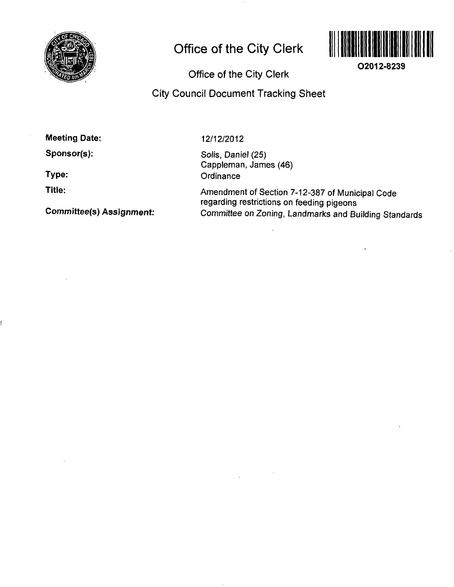

## **Office of the City Clerk**



**O2012-8239** 

**Office of the City Clerk** 

## **City Council Document Tracking Sheet**

**Meeting Date:** 

**Sponsor(s):** 

**Type:** 

**Title:** 

**Committee(s) Assignment:** 

12/12/2012

Solis, Daniel (25) Cappleman, James (46) **Ordinance** 

Amendment of Section 7-12-387 of Municipal Code regarding restrictions on feeding pigeons Committee on Zoning, Landmarks and Building Standards